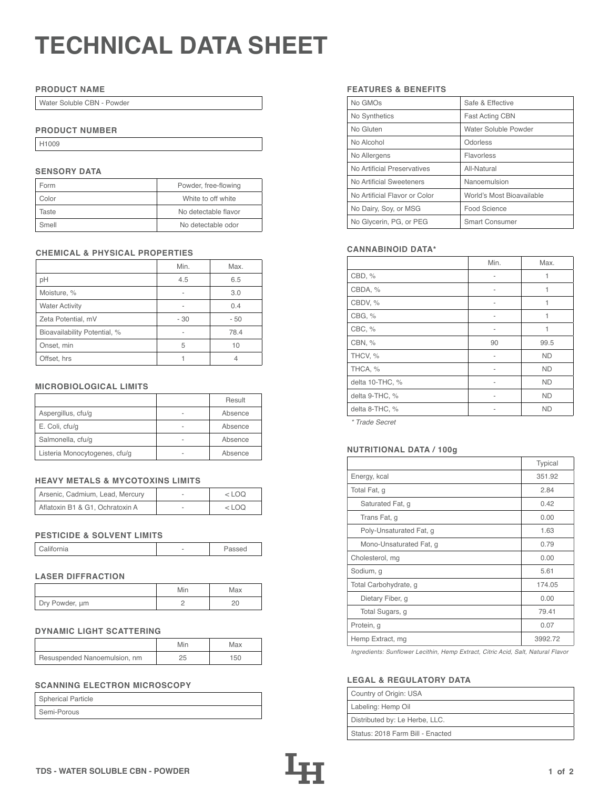# **TECHNICAL DATA SHEET**

## **PRODUCT NAME**

Water Soluble CBN - Powder

## **PRODUCT NUMBER**

H1009

# **SENSORY DATA**

| Form  | Powder, free-flowing |
|-------|----------------------|
| Color | White to off white   |
| Taste | No detectable flavor |
| Smell | No detectable odor   |

## **CHEMICAL & PHYSICAL PROPERTIES**

|                              | Min. | Max. |
|------------------------------|------|------|
| pH                           | 4.5  | 6.5  |
| Moisture, %                  |      | 3.0  |
| <b>Water Activity</b>        |      | 0.4  |
| Zeta Potential, mV           | - 30 | - 50 |
| Bioavailability Potential, % |      | 78.4 |
| Onset, min                   | 5    | 10   |
| Offset, hrs                  |      |      |

## **MICROBIOLOGICAL LIMITS**

|                               |   | Result  |
|-------------------------------|---|---------|
| Aspergillus, cfu/g            |   | Absence |
| E. Coli, cfu/g                | - | Absence |
| Salmonella, cfu/g             |   | Absence |
| Listeria Monocytogenes, cfu/g |   | Absence |

# **HEAVY METALS & MYCOTOXINS LIMITS**

| Arsenic, Cadmium, Lead, Mercury | $<$ LOO |
|---------------------------------|---------|
| Aflatoxin B1 & G1, Ochratoxin A | <100    |

## **PESTICIDE & SOLVENT LIMITS**

| California | - | 'assed |
|------------|---|--------|

## **LASER DIFFRACTION**

|                | Min | Max |
|----------------|-----|-----|
| Dry Powder, um |     |     |

## **DYNAMIC LIGHT SCATTERING**

|                              | Min | Max |
|------------------------------|-----|-----|
| Resuspended Nanoemulsion, nm |     | 150 |

# **SCANNING ELECTRON MICROSCOPY**

| Spherical Particle |  |
|--------------------|--|
| Semi-Porous        |  |

## **FEATURES & BENEFITS**

| No GMOs                       | Safe & Effective          |
|-------------------------------|---------------------------|
| No Synthetics                 | <b>Fast Acting CBN</b>    |
| No Gluten                     | Water Soluble Powder      |
| No Alcohol                    | Odorless                  |
| No Allergens                  | Flavorless                |
| No Artificial Preservatives   | All-Natural               |
| No Artificial Sweeteners      | Nanoemulsion              |
| No Artificial Flavor or Color | World's Most Bioavailable |
| No Dairy, Soy, or MSG         | Food Science              |
| No Glycerin, PG, or PEG       | <b>Smart Consumer</b>     |

## **CANNABINOID DATA\***

|                 | Min. | Max.      |
|-----------------|------|-----------|
| CBD, %          | ۰    | 1         |
| CBDA, %         |      | 1         |
| CBDV, %         |      | 1         |
| CBG, %          |      | 1         |
| CBC, %          | ۰    | 1         |
| CBN, %          | 90   | 99.5      |
| THCV, %         |      | <b>ND</b> |
| THCA, %         |      | <b>ND</b> |
| delta 10-THC, % |      | <b>ND</b> |
| delta 9-THC, %  |      | <b>ND</b> |
| delta 8-THC, %  |      | <b>ND</b> |

*\* Trade Secret*

## Listeria Monocytogenes, cfu/g - Absence **NUTRITIONAL DATA / 100g**

|                         | Typical |
|-------------------------|---------|
| Energy, kcal            | 351.92  |
| Total Fat, g            | 2.84    |
| Saturated Fat, g        | 0.42    |
| Trans Fat, g            | 0.00    |
| Poly-Unsaturated Fat, g | 1.63    |
| Mono-Unsaturated Fat, g | 0.79    |
| Cholesterol, mg         | 0.00    |
| Sodium, g               | 5.61    |
| Total Carbohydrate, g   | 174.05  |
| Dietary Fiber, g        | 0.00    |
| Total Sugars, g         | 79.41   |
| Protein, g              | 0.07    |
| Hemp Extract, mg        | 3992.72 |

*Ingredients: Sunflower Lecithin, Hemp Extract, Citric Acid, Salt, Natural Flavor*

## **LEGAL & REGULATORY DATA**

| Country of Origin: USA           |
|----------------------------------|
| Labeling: Hemp Oil               |
| Distributed by: Le Herbe, LLC.   |
| Status: 2018 Farm Bill - Enacted |